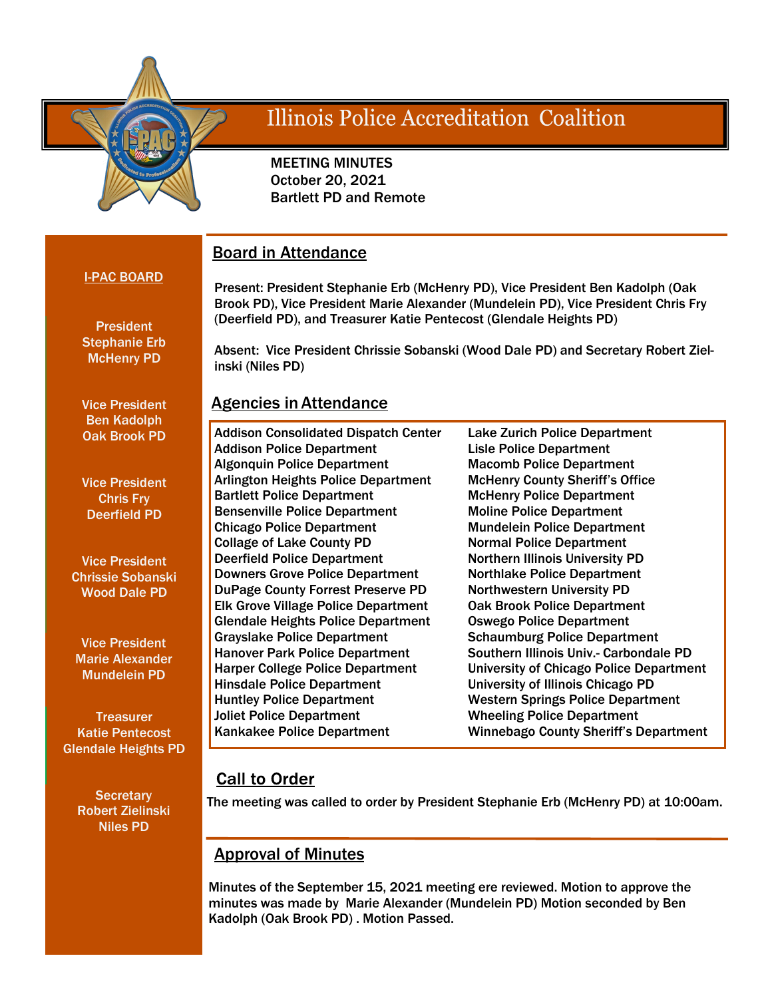

# **Illinois Police Accreditation Coalition**

 MEETING MINUTES October 20, 2021 Bartlett PD and Remote

## Board in Attendance

I-PAC BOARD

Present: President Stephanie Erb (McHenry PD), Vice President Ben Kadolph (Oak Brook PD), Vice President Marie Alexander (Mundelein PD), Vice President Chris Fry (Deerfield PD), and Treasurer Katie Pentecost (Glendale Heights PD)

**President** Stephanie Erb McHenry PD

Vice President Ben Kadolph Oak Brook PD

Vice President Chris Fry Deerfield PD

Vice President Chrissie Sobanski Wood Dale PD

Vice President Marie Alexander Mundelein PD

**Treasurer** Katie Pentecost Glendale Heights PD

**Secretary** Robert Zielinski Niles PD

Absent: Vice President Chrissie Sobanski (Wood Dale PD) and Secretary Robert Zielinski (Niles PD)

## Agencies in Attendance

Addison Consolidated Dispatch Center Addison Police Department Algonquin Police Department Arlington Heights Police Department Bartlett Police Department Bensenville Police Department Chicago Police Department Collage of Lake County PD Deerfield Police Department Downers Grove Police Department DuPage County Forrest Preserve PD Elk Grove Village Police Department Glendale Heights Police Department Grayslake Police Department Hanover Park Police Department Harper College Police Department Hinsdale Police Department Huntley Police Department Joliet Police Department Kankakee Police Department

Lake Zurich Police Department Lisle Police Department Macomb Police Department McHenry County Sheriff's Office McHenry Police Department Moline Police Department Mundelein Police Department Normal Police Department Northern Illinois University PD Northlake Police Department Northwestern University PD Oak Brook Police Department Oswego Police Department Schaumburg Police Department Southern Illinois Univ.- Carbondale PD University of Chicago Police Department University of Illinois Chicago PD Western Springs Police Department Wheeling Police Department Winnebago County Sheriff's Department

## **Call to Order**

The meeting was called to order by President Stephanie Erb (McHenry PD) at 10:00am.

## Approval of Minutes

Minutes of the September 15, 2021 meeting ere reviewed. Motion to approve the minutes was made by Marie Alexander (Mundelein PD) Motion seconded by Ben Kadolph (Oak Brook PD) . Motion Passed.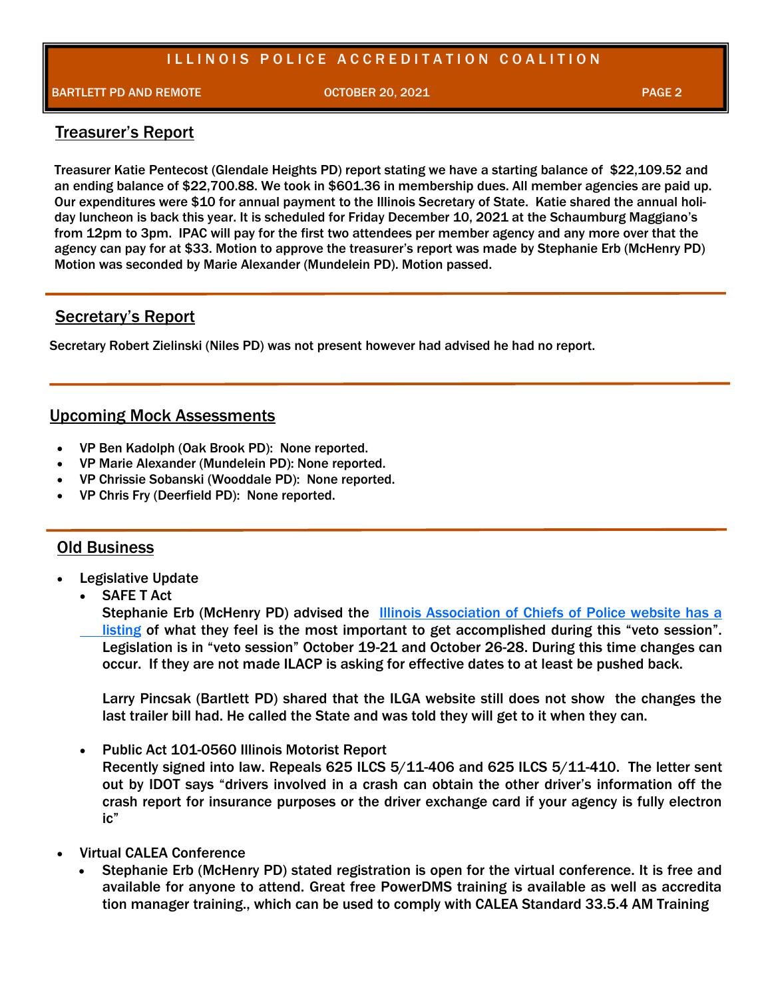## ILLINOIS POLICE ACCREDITATION COALITION

BARTLETT PD AND REMOTE A REMOTE A RESIDENCE OCTOBER 20, 2021 PAGE 2 PAGE 2

#### Treasurer's Report

Treasurer Katie Pentecost (Glendale Heights PD) report stating we have a starting balance of \$22,109.52 and an ending balance of \$22,700.88. We took in \$601.36 in membership dues. All member agencies are paid up. Our expenditures were \$10 for annual payment to the Illinois Secretary of State. Katie shared the annual holiday luncheon is back this year. It is scheduled for Friday December 10, 2021 at the Schaumburg Maggiano's from 12pm to 3pm. IPAC will pay for the first two attendees per member agency and any more over that the agency can pay for at \$33. Motion to approve the treasurer's report was made by Stephanie Erb (McHenry PD) Motion was seconded by Marie Alexander (Mundelein PD). Motion passed.

### Secretary's Report

Secretary Robert Zielinski (Niles PD) was not present however had advised he had no report.

### Upcoming Mock Assessments

- VP Ben Kadolph (Oak Brook PD): None reported.
- VP Marie Alexander (Mundelein PD): None reported.
- VP Chrissie Sobanski (Wooddale PD): None reported.
- VP Chris Fry (Deerfield PD): None reported.

#### Old Business

- Legislative Update
	- **SAFE T Act**

Stephanie Erb (McHenry PD) advised the [Illinois Association of Chiefs of Police website has a](https://ilacp.memberclicks.net/assets/docs/ILACP%20trailer%20bill%202%20fact%20sheet%20FINAL%20Oct%202021%5b10196%5d.pdf)  [listing](https://ilacp.memberclicks.net/assets/docs/ILACP%20trailer%20bill%202%20fact%20sheet%20FINAL%20Oct%202021%5b10196%5d.pdf) of what they feel is the most important to get accomplished during this "veto session". Legislation is in "veto session" October 19-21 and October 26-28. During this time changes can occur. If they are not made ILACP is asking for effective dates to at least be pushed back.

Larry Pincsak (Bartlett PD) shared that the ILGA website still does not show the changes the last trailer bill had. He called the State and was told they will get to it when they can.

• Public Act 101-0560 Illinois Motorist Report

Recently signed into law. Repeals 625 ILCS 5/11-406 and 625 ILCS 5/11-410. The letter sent out by IDOT says "drivers involved in a crash can obtain the other driver's information off the crash report for insurance purposes or the driver exchange card if your agency is fully electron ic"

- Virtual CALEA Conference
	- Stephanie Erb (McHenry PD) stated registration is open for the virtual conference. It is free and available for anyone to attend. Great free PowerDMS training is available as well as accredita tion manager training., which can be used to comply with CALEA Standard 33.5.4 AM Training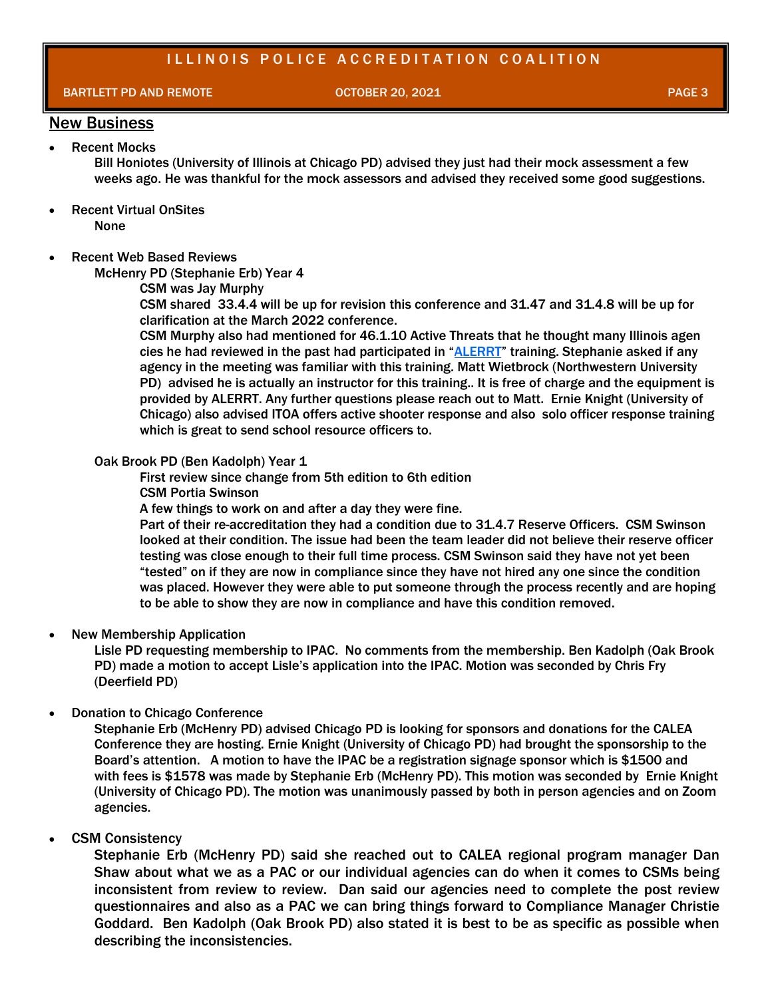### ILLINOIS POLICE ACCREDITATION COALITION

BARTLETT PD AND REMOTE A REMOTE A RESIDENCE OCTOBER 20, 2021 PAGE 3 AND RESIDENCE 20, 2021

## New Business

**Recent Mocks** Bill Honiotes (University of Illinois at Chicago PD) advised they just had their mock assessment a few weeks ago. He was thankful for the mock assessors and advised they received some good suggestions.

- **Recent Virtual OnSites** None
- Recent Web Based Reviews

McHenry PD (Stephanie Erb) Year 4

CSM was Jay Murphy

CSM shared 33.4.4 will be up for revision this conference and 31.47 and 31.4.8 will be up for clarification at the March 2022 conference.

CSM Murphy also had mentioned for 46.1.10 Active Threats that he thought many Illinois agen cies he had reviewed in the past had participated in "[ALERRT](https://alerrt.org/)" training. Stephanie asked if any agency in the meeting was familiar with this training. Matt Wietbrock (Northwestern University PD) advised he is actually an instructor for this training.. It is free of charge and the equipment is provided by ALERRT. Any further questions please reach out to Matt. Ernie Knight (University of Chicago) also advised ITOA offers active shooter response and also solo officer response training which is great to send school resource officers to.

#### Oak Brook PD (Ben Kadolph) Year 1

First review since change from 5th edition to 6th edition CSM Portia Swinson

A few things to work on and after a day they were fine.

Part of their re-accreditation they had a condition due to 31.4.7 Reserve Officers. CSM Swinson looked at their condition. The issue had been the team leader did not believe their reserve officer testing was close enough to their full time process. CSM Swinson said they have not yet been "tested" on if they are now in compliance since they have not hired any one since the condition was placed. However they were able to put someone through the process recently and are hoping to be able to show they are now in compliance and have this condition removed.

#### • New Membership Application

Lisle PD requesting membership to IPAC. No comments from the membership. Ben Kadolph (Oak Brook PD) made a motion to accept Lisle's application into the IPAC. Motion was seconded by Chris Fry (Deerfield PD)

#### • Donation to Chicago Conference

Stephanie Erb (McHenry PD) advised Chicago PD is looking for sponsors and donations for the CALEA Conference they are hosting. Ernie Knight (University of Chicago PD) had brought the sponsorship to the Board's attention. A motion to have the IPAC be a registration signage sponsor which is \$1500 and with fees is \$1578 was made by Stephanie Erb (McHenry PD). This motion was seconded by Ernie Knight (University of Chicago PD). The motion was unanimously passed by both in person agencies and on Zoom agencies.

#### • CSM Consistency

Stephanie Erb (McHenry PD) said she reached out to CALEA regional program manager Dan Shaw about what we as a PAC or our individual agencies can do when it comes to CSMs being inconsistent from review to review. Dan said our agencies need to complete the post review questionnaires and also as a PAC we can bring things forward to Compliance Manager Christie Goddard. Ben Kadolph (Oak Brook PD) also stated it is best to be as specific as possible when describing the inconsistencies.